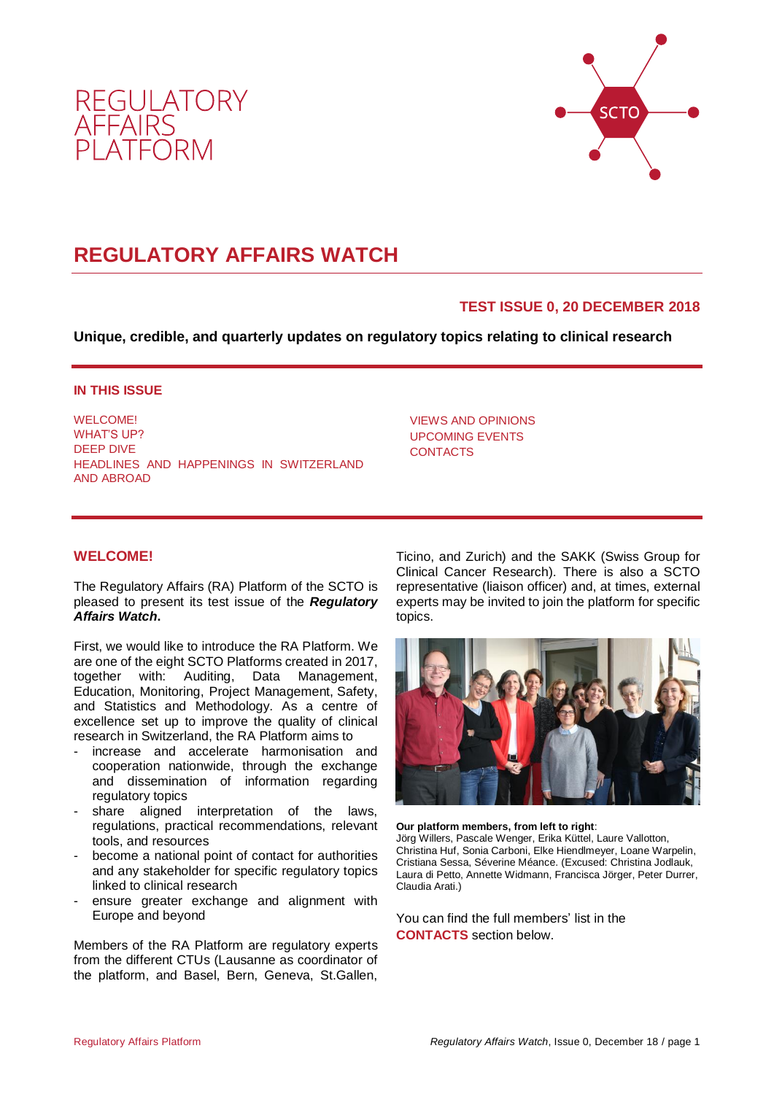



# **REGULATORY AFFAIRS WATCH**

### **TEST ISSUE 0, 20 DECEMBER 2018**

**Unique, credible, and quarterly updates on regulatory topics relating to clinical research**

#### **IN THIS ISSUE**

[WELCOME!](#page-0-0) [WHAT'S UP?](#page-1-0) [DEEP DIVE](#page-1-1) [HEADLINES AND HAPPENINGS](#page-3-0) IN SWITZERLAND AND ABROAD

[VIEWS AND OPINIONS](#page-4-0) [UPCOMING EVENTS](#page-5-0) **[CONTACTS](#page-5-1)** 

### <span id="page-0-0"></span>**WELCOME!**

The [Regulatory Affairs \(RA\) Platform](https://www.scto.ch/en/network/scto-platforms/regulatory-affairs.html) of the SCTO is pleased to present its test issue of the *Regulatory Affairs Watch***.**

First, we would like to introduce the RA Platform. We are one of the eight SCTO [Platforms](https://www.scto.ch/en/network/scto-platforms.html) created in 2017, together with: [Auditing,](https://www.scto.ch/en/network/scto-platforms/auditing.html) [Data Management,](https://www.scto.ch/en/network/scto-platforms/data-management.html) [Education,](https://www.scto.ch/en/network/scto-platforms/education.html) [Monitoring,](https://www.scto.ch/en/network/scto-platforms/monitoring.html) [Project Management,](https://www.scto.ch/en/network/scto-platforms/project-management.html) [Safety,](https://www.scto.ch/en/network/scto-platforms/safety.html) and [Statistics and Methodology.](https://www.scto.ch/en/network/scto-platforms/statistics-and-methodology.html) As a centre of excellence set up to improve the quality of clinical research in Switzerland, the RA Platform aims to

- increase and accelerate harmonisation and cooperation nationwide, through the exchange and dissemination of information regarding regulatory topics
- share aligned interpretation of the laws, regulations, practical recommendations, relevant tools, and resources
- become a national point of contact for authorities and any stakeholder for specific regulatory topics linked to clinical research
- ensure greater exchange and alignment with Europe and beyond

Members of the RA Platform are regulatory experts from the different CTUs (Lausanne as coordinator of the platform, and Basel, Bern, Geneva, St.Gallen,

Ticino, and Zurich) and the SAKK (Swiss Group for Clinical Cancer Research). There is also a SCTO representative (liaison officer) and, at times, external experts may be invited to join the platform for specific topics.



**Our platform members, from left to right**: Jörg Willers, Pascale Wenger, Erika Küttel, Laure Vallotton, Christina Huf, Sonia Carboni, Elke Hiendlmeyer, Loane Warpelin, Cristiana Sessa, Séverine Méance. (Excused: Christina Jodlauk, Laura di Petto, Annette Widmann, Francisca Jörger, Peter Durrer, Claudia Arati.)

You can find the full members' list in the **[CONTACTS](#page-5-1)** section below.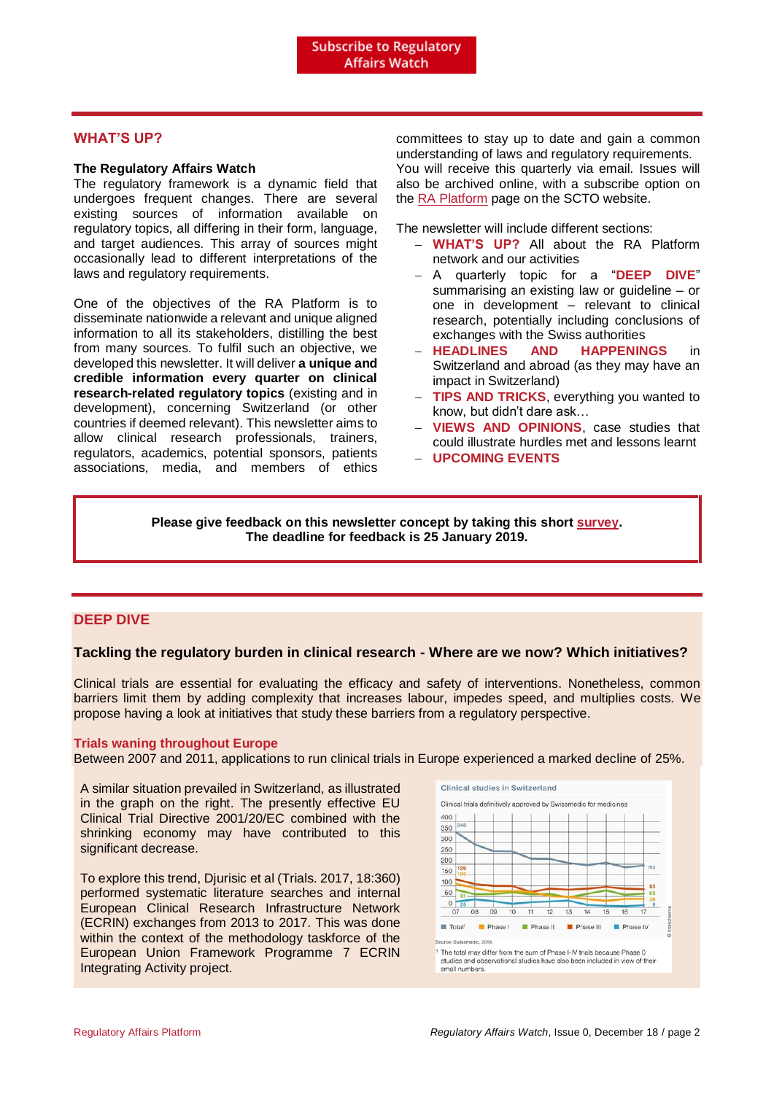### <span id="page-1-0"></span>**WHAT'S UP?**

#### **The Regulatory Affairs Watch**

The regulatory framework is a dynamic field that undergoes frequent changes. There are several existing sources of information available on regulatory topics, all differing in their form, language, and target audiences. This array of sources might occasionally lead to different interpretations of the laws and regulatory requirements.

One of the objectives of the RA Platform is to disseminate nationwide a relevant and unique aligned information to all its stakeholders, distilling the best from many sources. To fulfil such an objective, we developed this newsletter. It will deliver a unique and **credible information every quarter on clinical research-related regulatory topics** (existing and in development), concerning Switzerland (or other countries if deemed relevant). This newsletter aims to allow clinical research professionals, trainers, regulators, academics, potential sponsors, patients associations, media, and members of ethics

committees to stay up to date and gain a common understanding of laws and regulatory requirements. You will receive this quarterly via email. Issues will also be archived online, with a subscribe option on the [RA Platform](https://www.scto.ch/fr/network/scto-platforms/regulatory-affairs.html) page on the SCTO website.

The newsletter will include different sections:

- − **WHAT'S UP?** All about the RA Platform network and our activities
- − A quarterly topic for a "**DEEP DIVE**" summarising an existing law or guideline – or one in development – relevant to clinical research, potentially including conclusions of exchanges with the Swiss authorities
- **HEADLINES AND HAPPENINGS** in Switzerland and abroad (as they may have an impact in Switzerland)
- − **TIPS AND TRICKS**, everything you wanted to know, but didn't dare ask…
- − **VIEWS AND OPINIONS**, case studies that could illustrate hurdles met and lessons learnt
- − **UPCOMING EVENTS**

**Please give feedback on this newsletter concept by taking this short [survey.](https://www.surveymonkey.com/r/GSQFRT9) The deadline for feedback is 25 January 2019.**

## <span id="page-1-1"></span>**DEEP DIVE**

#### **Tackling the regulatory burden in clinical research - Where are we now? Which initiatives?**

Clinical trials are essential for evaluating the efficacy and safety of interventions. Nonetheless, common barriers limit them by adding complexity that increases labour, impedes speed, and multiplies costs. We propose having a look at initiatives that study these barriers from a regulatory perspective.

#### **Trials waning throughout Europe**

Between 2007 and 2011, applications to run clinical trials in Europe experienced a marked decline of 25%.

A similar situation prevailed in Switzerland, as illustrated in the graph on the right. The presently effective EU Clinical Trial Directive 2001/20/EC combined with the shrinking economy may have contributed to this significant decrease.

To explore this trend, Djurisic et al (Trials. 2017, 18:360) performed systematic literature searches and internal European Clinical Research Infrastructure Network (ECRIN) exchanges from 2013 to 2017. This was done within the context of the methodology taskforce of the European Union Framework Programme 7 ECRIN Integrating Activity project.

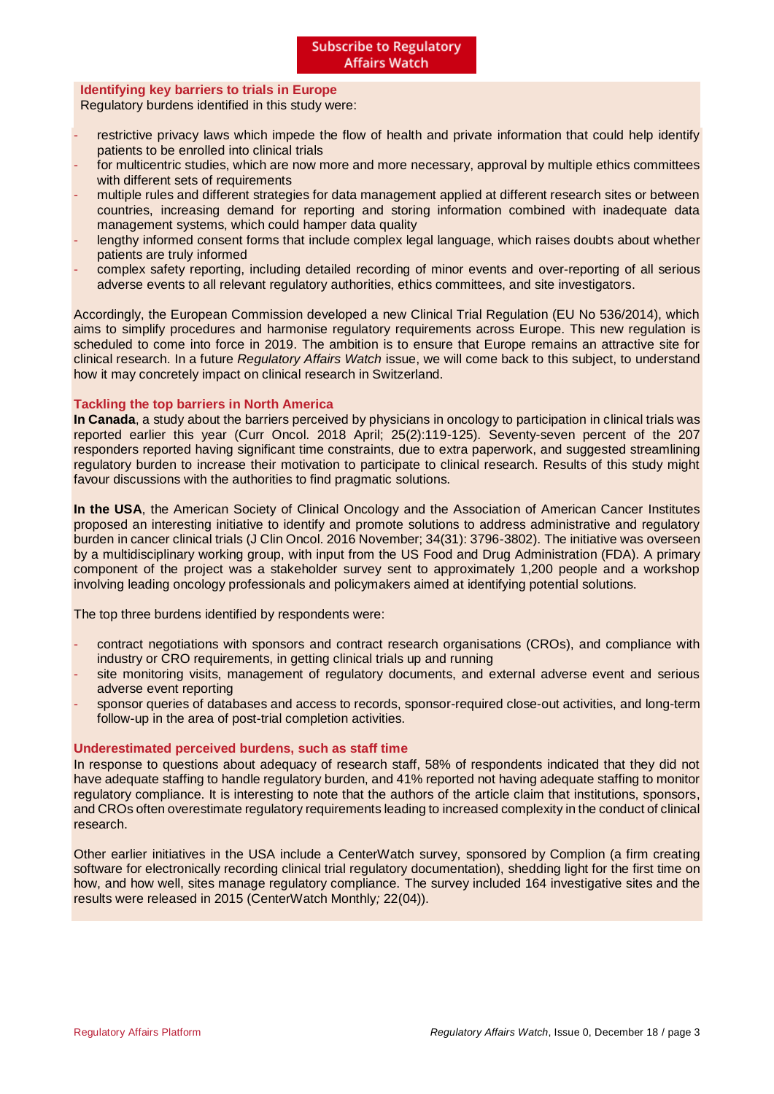### **Identifying key barriers to trials in Europe**

Regulatory burdens identified in this study were:

- restrictive privacy laws which impede the flow of health and private information that could help identify patients to be enrolled into clinical trials
- for multicentric studies, which are now more and more necessary, approval by multiple ethics committees with different sets of requirements
- multiple rules and different strategies for data management applied at different research sites or between countries, increasing demand for reporting and storing information combined with inadequate data management systems, which could hamper data quality
- lengthy informed consent forms that include complex legal language, which raises doubts about whether patients are truly informed
- complex safety reporting, including detailed recording of minor events and over-reporting of all serious adverse events to all relevant regulatory authorities, ethics committees, and site investigators.

Accordingly, the European Commission developed a new Clinical Trial Regulation (EU No 536/2014), which aims to simplify procedures and harmonise regulatory requirements across Europe. This new regulation is scheduled to come into force in 2019. The ambition is to ensure that Europe remains an attractive site for clinical research. In a future *Regulatory Affairs Watch* issue, we will come back to this subject, to understand how it may concretely impact on clinical research in Switzerland.

#### **Tackling the top barriers in North America**

**In Canada**, a study about the barriers perceived by physicians in oncology to participation in clinical trials was reported earlier this year (Curr Oncol. 2018 April; 25(2):119-125). Seventy-seven percent of the 207 responders reported having significant time constraints, due to extra paperwork, and suggested streamlining regulatory burden to increase their motivation to participate to clinical research. Results of this study might favour discussions with the authorities to find pragmatic solutions.

**In the USA**, the American Society of Clinical Oncology and the Association of American Cancer Institutes proposed an interesting initiative to identify and promote solutions to address administrative and regulatory burden in cancer clinical trials (J Clin Oncol. 2016 November; 34(31): 3796-3802). The initiative was overseen by a multidisciplinary working group, with input from the US Food and Drug Administration (FDA). A primary component of the project was a stakeholder survey sent to approximately 1,200 people and a workshop involving leading oncology professionals and policymakers aimed at identifying potential solutions.

The top three burdens identified by respondents were:

- contract negotiations with sponsors and contract research organisations (CROs), and compliance with industry or CRO requirements, in getting clinical trials up and running
- site monitoring visits, management of regulatory documents, and external adverse event and serious adverse event reporting
- sponsor queries of databases and access to records, sponsor-required close-out activities, and long-term follow-up in the area of post-trial completion activities.

#### **Underestimated perceived burdens, such as staff time**

In response to questions about adequacy of research staff, 58% of respondents indicated that they did not have adequate staffing to handle regulatory burden, and 41% reported not having adequate staffing to monitor regulatory compliance. It is interesting to note that the authors of the article claim that institutions, sponsors, and CROs often overestimate regulatory requirements leading to increased complexity in the conduct of clinical research.

Other earlier initiatives in the USA include a CenterWatch survey, sponsored by Complion (a firm creating software for electronically recording clinical trial regulatory documentation), shedding light for the first time on how, and how well, sites manage regulatory compliance. The survey included 164 investigative sites and the results were released in 2015 (CenterWatch Monthly*;* 22(04)).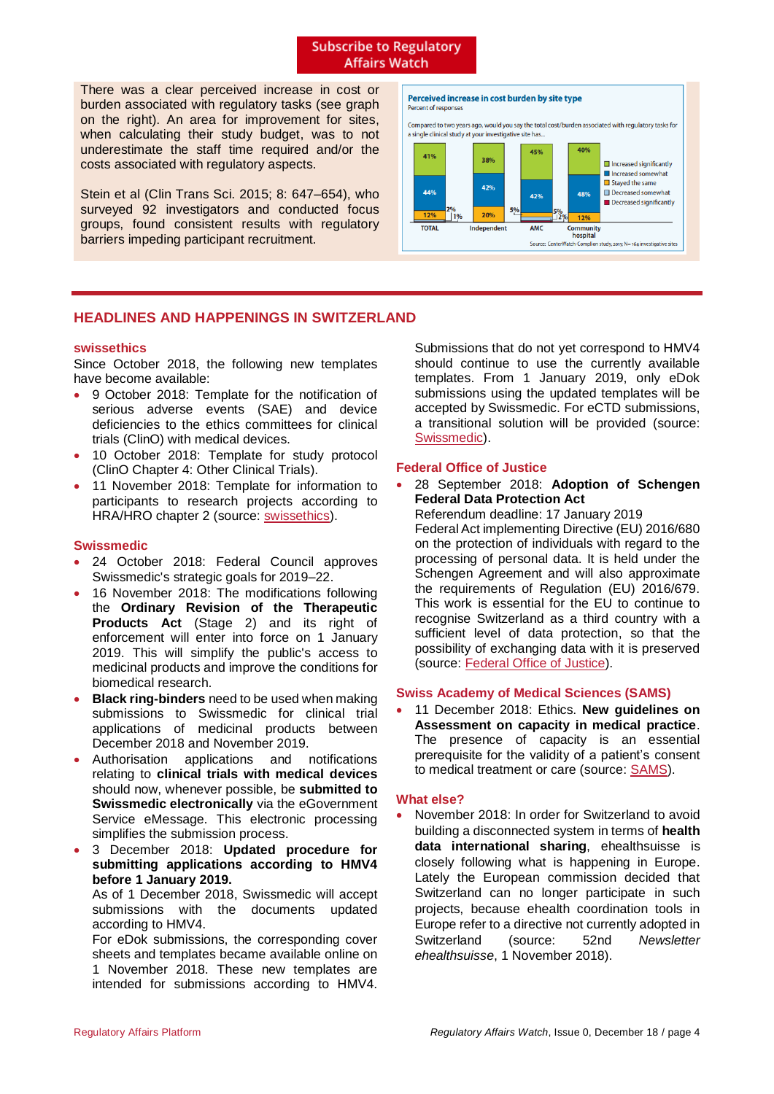### **Subscribe to Regulatory Affairs Watch**

There was a clear perceived increase in cost or burden associated with regulatory tasks (see graph on the right). An area for improvement for sites, when calculating their study budget, was to not underestimate the staff time required and/or the costs associated with regulatory aspects.

Stein et al (Clin Trans Sci. 2015; 8: 647–654), who surveyed 92 investigators and conducted focus groups, found consistent results with regulatory barriers impeding participant recruitment.

#### Perceived increase in cost burden by site type rcent of respi

Compared to two years ago, would you say the total cost/burden associated with regulatory tasks for a single clinical study at your investigative site has.



### <span id="page-3-0"></span>**HEADLINES AND HAPPENINGS IN SWITZERLAND**

#### **swissethics**

Since October 2018, the following new templates have become available:

- 9 October 2018: Template for the notification of serious adverse events (SAE) and device deficiencies to the ethics committees for clinical trials (ClinO) with medical devices.
- 10 October 2018: Template for study protocol (ClinO Chapter 4: Other Clinical Trials).
- 11 November 2018: Template for information to participants to research projects according to HRA/HRO chapter 2 (source: [swissethics\)](http://www.swissethics.ch/).

#### **Swissmedic**

- 24 October 2018: Federal Council approves Swissmedic's strategic goals for 2019–22.
- 16 November 2018: The modifications following the **Ordinary Revision of the Therapeutic Products Act** (Stage 2) and its right of enforcement will enter into force on 1 January 2019. This will simplify the public's access to medicinal products and improve the conditions for biomedical research.
- **Black ring-binders** need to be used when making submissions to Swissmedic for clinical trial applications of medicinal products between December 2018 and November 2019.
- Authorisation applications and notifications relating to **clinical trials with medical devices** should now, whenever possible, be **submitted to Swissmedic electronically** via the eGovernment Service eMessage. This electronic processing simplifies the submission process.
- 3 December 2018: **Updated procedure for submitting applications according to HMV4 before 1 January 2019.**

As of 1 December 2018, Swissmedic will accept submissions with the documents updated according to HMV4.

For eDok submissions, the corresponding cover sheets and templates became available online on 1 November 2018. These new templates are intended for submissions according to HMV4.

Submissions that do not yet correspond to HMV4 should continue to use the currently available templates. From 1 January 2019, only eDok submissions using the updated templates will be accepted by Swissmedic. For eCTD submissions, a transitional solution will be provided (source: [Swissmedic\)](http://www.swissmedic.ch/).

#### **Federal Office of Justice**

• 28 September 2018: **Adoption of Schengen Federal Data Protection Act** Referendum deadline: 17 January 2019 Federal Act implementing Directive (EU) 2016/680 on the protection of individuals with regard to the processing of personal data. It is held under the Schengen Agreement and will also approximate the requirements of Regulation (EU) 2016/679. This work is essential for the EU to continue to recognise Switzerland as a third country with a sufficient level of data protection, so that the possibility of exchanging data with it is preserved (source: [Federal Office of Justice\)](https://www.admin.ch/opc/fr/federal-gazette/2018/6049.pdf).

### **Swiss Academy of Medical Sciences (SAMS)**

• 11 December 2018: Ethics. **New guidelines on Assessment on capacity in medical practice**. The presence of capacity is an essential prerequisite for the validity of a patient's consent to medical treatment or care (source: [SAMS\)](https://www.samw.ch/en/News/News.html).

#### **What else?**

• November 2018: In order for Switzerland to avoid building a disconnected system in terms of **health data international sharing**, ehealthsuisse is closely following what is happening in Europe. Lately the European commission decided that Switzerland can no longer participate in such projects, because ehealth coordination tools in Europe refer to a directive not currently adopted in Switzerland (source: 52nd *[Newsletter](https://www.e-health-suisse.ch/fr/footer/newsletter/newsletter-ehealth-suisse.html)  [ehealthsuisse](https://www.e-health-suisse.ch/fr/footer/newsletter/newsletter-ehealth-suisse.html)*, 1 November 2018).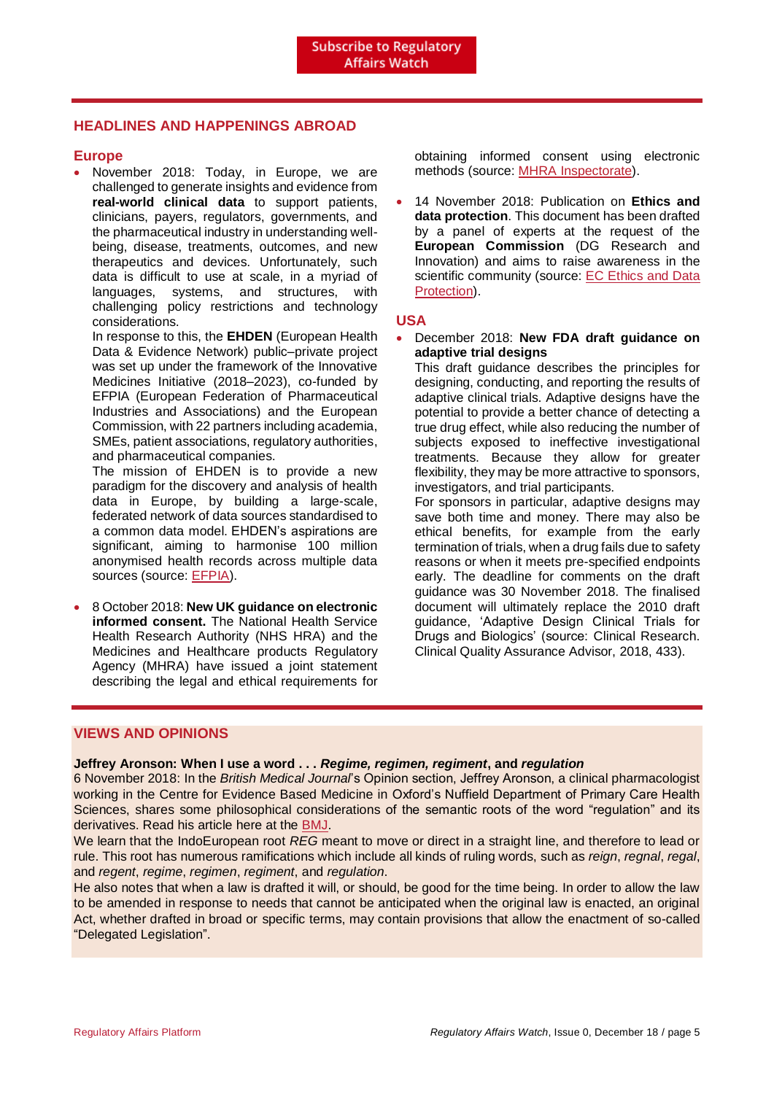#### **HEADLINES AND HAPPENINGS ABROAD**

#### **Europe**

• November 2018: Today, in Europe, we are challenged to generate insights and evidence from **real-world clinical data** to support patients, clinicians, payers, regulators, governments, and the pharmaceutical industry in understanding wellbeing, disease, treatments, outcomes, and new therapeutics and devices. Unfortunately, such data is difficult to use at scale, in a myriad of languages, systems, and structures, with challenging policy restrictions and technology considerations.

In response to this, the **EHDEN** (European Health Data & Evidence Network) public–private project was set up under the framework of the Innovative Medicines Initiative (2018–2023), co-funded by EFPIA (European Federation of Pharmaceutical Industries and Associations) and the European Commission, with 22 partners including academia, SMEs, patient associations, regulatory authorities, and pharmaceutical companies.

The mission of EHDEN is to provide a new paradigm for the discovery and analysis of health data in Europe, by building a large-scale, federated network of data sources standardised to a common data model. EHDEN's aspirations are significant, aiming to harmonise 100 million anonymised health records across multiple data sources (source: [EFPIA\)](https://www.efpia.eu/news-events/the-efpia-view/statements-press-releases/efpia-companies-and-public-partners-join-up-to-improve-health-data-eco-system-in-europe/).

• 8 October 2018: **New UK guidance on electronic informed consent.** The National Health Service Health Research Authority (NHS HRA) and the Medicines and Healthcare products Regulatory Agency (MHRA) have issued a joint statement describing the legal and ethical requirements for

obtaining informed consent using electronic methods (source: [MHRA Inspectorate\)](https://mhrainspectorate.blog.gov.uk/2018/10/08/econsent/).

• 14 November 2018: Publication on **Ethics and data protection**. This document has been drafted by a panel of experts at the request of the **European Commission** (DG Research and Innovation) and aims to raise awareness in the scientific community (source: [EC Ethics](http://ec.europa.eu/research/participants/data/ref/h2020/grants_manual/hi/ethics/h2020_hi_ethics-data-protection_en.pdf) and Data [Protection\)](http://ec.europa.eu/research/participants/data/ref/h2020/grants_manual/hi/ethics/h2020_hi_ethics-data-protection_en.pdf).

#### **USA**

• December 2018: **New FDA draft guidance on adaptive trial designs**

This draft guidance describes the principles for designing, conducting, and reporting the results of adaptive clinical trials. Adaptive designs have the potential to provide a better chance of detecting a true drug effect, while also reducing the number of subjects exposed to ineffective investigational treatments. Because they allow for greater flexibility, they may be more attractive to sponsors, investigators, and trial participants.

For sponsors in particular, adaptive designs may save both time and money. There may also be ethical benefits, for example from the early termination of trials, when a drug fails due to safety reasons or when it meets pre-specified endpoints early. The deadline for comments on the draft guidance was 30 November 2018. The finalised document will ultimately replace the 2010 draft guidance, 'Adaptive Design Clinical Trials for Drugs and Biologics' (source: Clinical Research. Clinical Quality Assurance Advisor, 2018, 433).

### <span id="page-4-0"></span>**VIEWS AND OPINIONS**

#### **Jeffrey Aronson: When I use a word . . .** *Regime, regimen, regiment***, and** *regulation*

6 November 2018: In the *British Medical Journal*'s Opinion section, Jeffrey Aronson, a clinical pharmacologist working in the Centre for Evidence Based Medicine in Oxford's Nuffield Department of Primary Care Health Sciences, shares some philosophical considerations of the semantic roots of the word "regulation" and its derivatives. Read his article here at the [BMJ.](https://blogs.bmj.com/bmj/2018/11/16/jeffrey-aronson-when-i-use-a-word-regime-regimen-regiment-and-regulation/)

We learn that the IndoEuropean root *REG* meant to move or direct in a straight line, and therefore to lead or rule. This root has numerous ramifications which include all kinds of ruling words, such as *reign*, *regnal*, *regal*, and *regent*, *regime*, *regimen*, *regiment*, and *regulation*.

He also notes that when a law is drafted it will, or should, be good for the time being. In order to allow the law to be amended in response to needs that cannot be anticipated when the original law is enacted, an original Act, whether drafted in broad or specific terms, may contain provisions that allow the enactment of so-called ["Delegated Legislation"](https://www.soas.ac.uk/library/subjects/law/research/file70251.pdf).